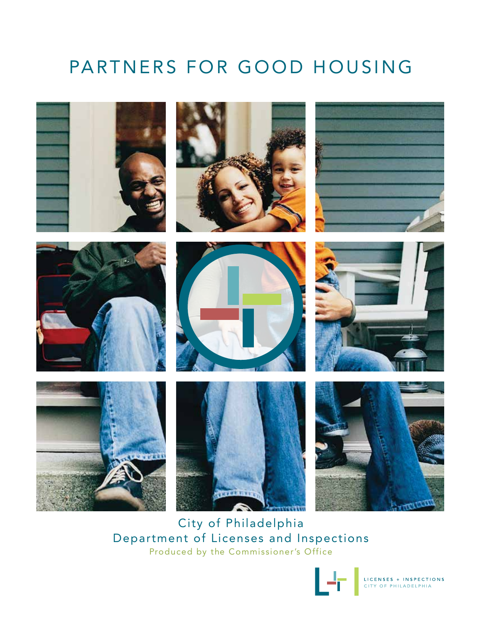# PARTNERS FOR GOOD HOUSING



City of Philadelphia Department of Licenses and Inspections Produced by the Commissioner's Office



LICENSES + INSPECTIONS<br>CITY OF PHILADELPHIA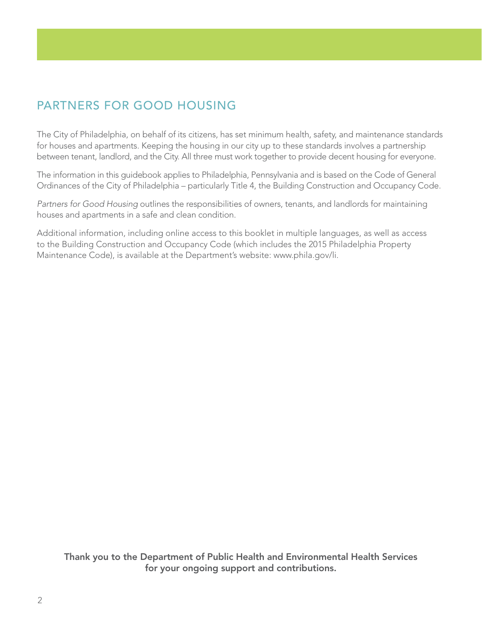# PARTNERS FOR GOOD HOUSING

The City of Philadelphia, on behalf of its citizens, has set minimum health, safety, and maintenance standards for houses and apartments. Keeping the housing in our city up to these standards involves a partnership between tenant, landlord, and the City. All three must work together to provide decent housing for everyone.

The information in this guidebook applies to Philadelphia, Pennsylvania and is based on the Code of General Ordinances of the City of Philadelphia – particularly Title 4, the Building Construction and Occupancy Code.

*Partners for Good Housing* outlines the responsibilities of owners, tenants, and landlords for maintaining houses and apartments in a safe and clean condition.

Additional information, including online access to this booklet in multiple languages, as well as access to the Building Construction and Occupancy Code (which includes the 2015 Philadelphia Property Maintenance Code), is available at the Department's website: www.phila.gov/li.

Thank you to the Department of Public Health and Environmental Health Services for your ongoing support and contributions.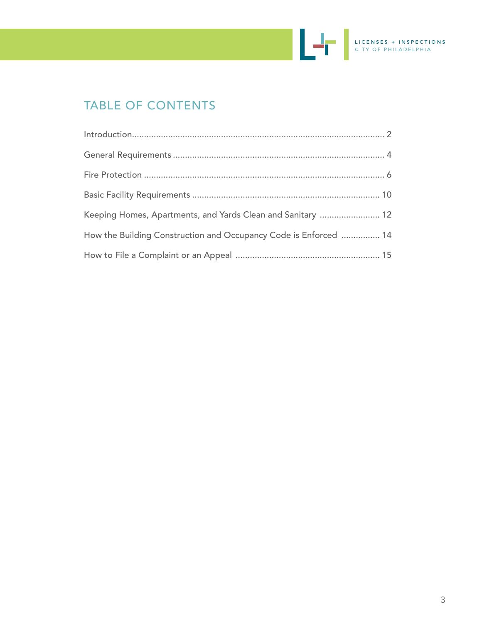

# TABLE OF CONTENTS

| Keeping Homes, Apartments, and Yards Clean and Sanitary  12      |
|------------------------------------------------------------------|
| How the Building Construction and Occupancy Code is Enforced  14 |
|                                                                  |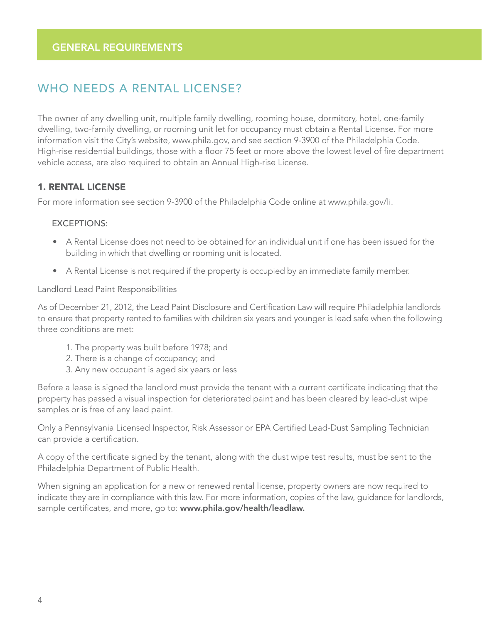# WHO NEEDS A RENTAL LICENSE?

The owner of any dwelling unit, multiple family dwelling, rooming house, dormitory, hotel, one-family dwelling, two-family dwelling, or rooming unit let for occupancy must obtain a Rental License. For more information visit the City's website, www.phila.gov, and see section 9-3900 of the Philadelphia Code. High-rise residential buildings, those with a floor 75 feet or more above the lowest level of fire department vehicle access, are also required to obtain an Annual High-rise License.

#### 1. RENTAL LICENSE

For more information see section 9-3900 of the Philadelphia Code online at www.phila.gov/li.

#### EXCEPTIONS:

- A Rental License does not need to be obtained for an individual unit if one has been issued for the building in which that dwelling or rooming unit is located.
- A Rental License is not required if the property is occupied by an immediate family member.

Landlord Lead Paint Responsibilities

As of December 21, 2012, the Lead Paint Disclosure and Certification Law will require Philadelphia landlords to ensure that property rented to families with children six years and younger is lead safe when the following three conditions are met:

- 1. The property was built before 1978; and
- 2. There is a change of occupancy; and
- 3. Any new occupant is aged six years or less

Before a lease is signed the landlord must provide the tenant with a current certificate indicating that the property has passed a visual inspection for deteriorated paint and has been cleared by lead-dust wipe samples or is free of any lead paint.

Only a Pennsylvania Licensed Inspector, Risk Assessor or EPA Certified Lead-Dust Sampling Technician can provide a certification.

A copy of the certificate signed by the tenant, along with the dust wipe test results, must be sent to the Philadelphia Department of Public Health.

When signing an application for a new or renewed rental license, property owners are now required to indicate they are in compliance with this law. For more information, copies of the law, guidance for landlords, sample certificates, and more, go to: www.phila.gov/health/leadlaw.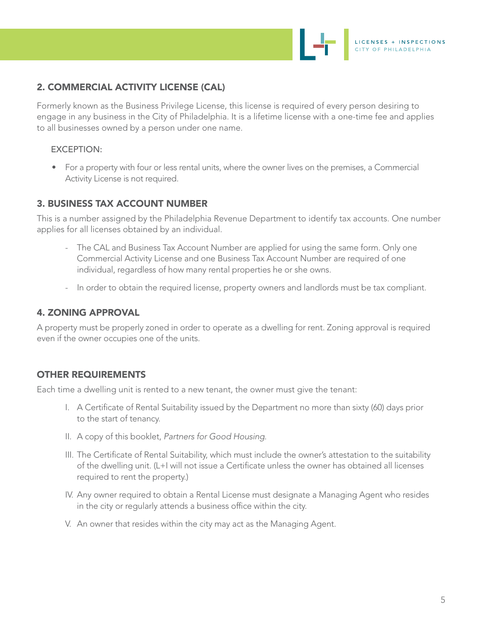

# 2. COMMERCIAL ACTIVITY LICENSE (CAL)

Formerly known as the Business Privilege License, this license is required of every person desiring to engage in any business in the City of Philadelphia. It is a lifetime license with a one-time fee and applies to all businesses owned by a person under one name.

#### EXCEPTION:

• For a property with four or less rental units, where the owner lives on the premises, a Commercial Activity License is not required.

# 3. BUSINESS TAX ACCOUNT NUMBER

This is a number assigned by the Philadelphia Revenue Department to identify tax accounts. One number applies for all licenses obtained by an individual.

- The CAL and Business Tax Account Number are applied for using the same form. Only one Commercial Activity License and one Business Tax Account Number are required of one individual, regardless of how many rental properties he or she owns.
- In order to obtain the required license, property owners and landlords must be tax compliant.

#### 4. ZONING APPROVAL

A property must be properly zoned in order to operate as a dwelling for rent. Zoning approval is required even if the owner occupies one of the units.

#### OTHER REQUIREMENTS

Each time a dwelling unit is rented to a new tenant, the owner must give the tenant:

- I. A Certificate of Rental Suitability issued by the Department no more than sixty (60) days prior to the start of tenancy.
- II. A copy of this booklet, *Partners for Good Housing*.
- III. The Certificate of Rental Suitability, which must include the owner's attestation to the suitability of the dwelling unit. (L+I will not issue a Certificate unless the owner has obtained all licenses required to rent the property.)
- IV. Any owner required to obtain a Rental License must designate a Managing Agent who resides in the city or regularly attends a business office within the city.
- V. An owner that resides within the city may act as the Managing Agent.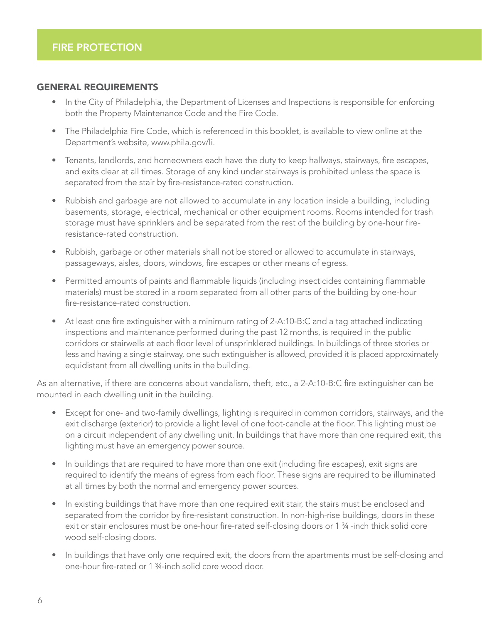#### GENERAL REQUIREMENTS

- In the City of Philadelphia, the Department of Licenses and Inspections is responsible for enforcing both the Property Maintenance Code and the Fire Code.
- The Philadelphia Fire Code, which is referenced in this booklet, is available to view online at the Department's website, www.phila.gov/li.
- Tenants, landlords, and homeowners each have the duty to keep hallways, stairways, fire escapes, and exits clear at all times. Storage of any kind under stairways is prohibited unless the space is separated from the stair by fire-resistance-rated construction.
- Rubbish and garbage are not allowed to accumulate in any location inside a building, including basements, storage, electrical, mechanical or other equipment rooms. Rooms intended for trash storage must have sprinklers and be separated from the rest of the building by one-hour fireresistance-rated construction.
- Rubbish, garbage or other materials shall not be stored or allowed to accumulate in stairways, passageways, aisles, doors, windows, fire escapes or other means of egress.
- Permitted amounts of paints and flammable liquids (including insecticides containing flammable materials) must be stored in a room separated from all other parts of the building by one-hour fire-resistance-rated construction.
- At least one fire extinguisher with a minimum rating of 2-A:10-B:C and a tag attached indicating inspections and maintenance performed during the past 12 months, is required in the public corridors or stairwells at each floor level of unsprinklered buildings. In buildings of three stories or less and having a single stairway, one such extinguisher is allowed, provided it is placed approximately equidistant from all dwelling units in the building.

As an alternative, if there are concerns about vandalism, theft, etc., a 2-A:10-B:C fire extinguisher can be mounted in each dwelling unit in the building.

- Except for one- and two-family dwellings, lighting is required in common corridors, stairways, and the exit discharge (exterior) to provide a light level of one foot-candle at the floor. This lighting must be on a circuit independent of any dwelling unit. In buildings that have more than one required exit, this lighting must have an emergency power source.
- In buildings that are required to have more than one exit (including fire escapes), exit signs are required to identify the means of egress from each floor. These signs are required to be illuminated at all times by both the normal and emergency power sources.
- In existing buildings that have more than one required exit stair, the stairs must be enclosed and separated from the corridor by fire-resistant construction. In non-high-rise buildings, doors in these exit or stair enclosures must be one-hour fire-rated self-closing doors or 1 ¾ -inch thick solid core wood self-closing doors.
- In buildings that have only one required exit, the doors from the apartments must be self-closing and one-hour fire-rated or 1 ¾-inch solid core wood door.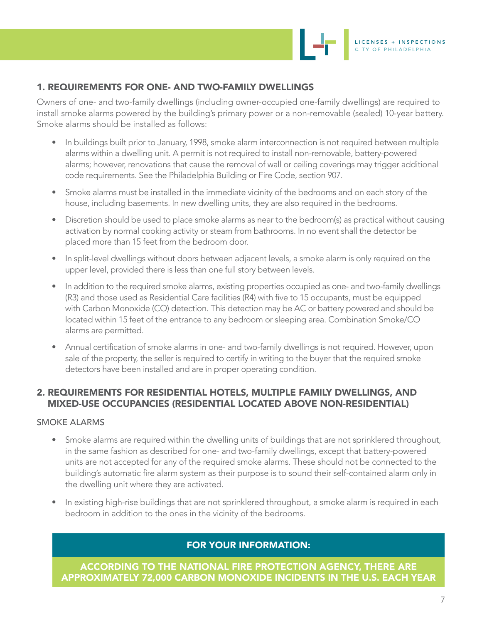

# 1. REQUIREMENTS FOR ONE- AND TWO-FAMILY DWELLINGS

Owners of one- and two-family dwellings (including owner-occupied one-family dwellings) are required to install smoke alarms powered by the building's primary power or a non-removable (sealed) 10-year battery. Smoke alarms should be installed as follows:

- In buildings built prior to January, 1998, smoke alarm interconnection is not required between multiple alarms within a dwelling unit. A permit is not required to install non-removable, battery-powered alarms; however, renovations that cause the removal of wall or ceiling coverings may trigger additional code requirements. See the Philadelphia Building or Fire Code, section 907.
- Smoke alarms must be installed in the immediate vicinity of the bedrooms and on each story of the house, including basements. In new dwelling units, they are also required in the bedrooms.
- Discretion should be used to place smoke alarms as near to the bedroom(s) as practical without causing activation by normal cooking activity or steam from bathrooms. In no event shall the detector be placed more than 15 feet from the bedroom door.
- In split-level dwellings without doors between adjacent levels, a smoke alarm is only required on the upper level, provided there is less than one full story between levels.
- In addition to the required smoke alarms, existing properties occupied as one- and two-family dwellings (R3) and those used as Residential Care facilities (R4) with five to 15 occupants, must be equipped with Carbon Monoxide (CO) detection. This detection may be AC or battery powered and should be located within 15 feet of the entrance to any bedroom or sleeping area. Combination Smoke/CO alarms are permitted.
- Annual certification of smoke alarms in one- and two-family dwellings is not required. However, upon sale of the property, the seller is required to certify in writing to the buyer that the required smoke detectors have been installed and are in proper operating condition.

#### 2. REQUIREMENTS FOR RESIDENTIAL HOTELS, MULTIPLE FAMILY DWELLINGS, AND MIXED-USE OCCUPANCIES (RESIDENTIAL LOCATED ABOVE NON-RESIDENTIAL)

#### SMOKE ALARMS

,

- Smoke alarms are required within the dwelling units of buildings that are not sprinklered throughout, in the same fashion as described for one- and two-family dwellings, except that battery-powered units are not accepted for any of the required smoke alarms. These should not be connected to the building's automatic fire alarm system as their purpose is to sound their self-contained alarm only in the dwelling unit where they are activated.
- In existing high-rise buildings that are not sprinklered throughout, a smoke alarm is required in each bedroom in addition to the ones in the vicinity of the bedrooms.

# FOR YOUR INFORMATION:

ACCORDING TO THE NATIONAL FIRE PROTECTION AGENCY, THERE ARE APPROXIMATELY 72,000 CARBON MONOXIDE INCIDENTS IN THE U.S. EACH YEAR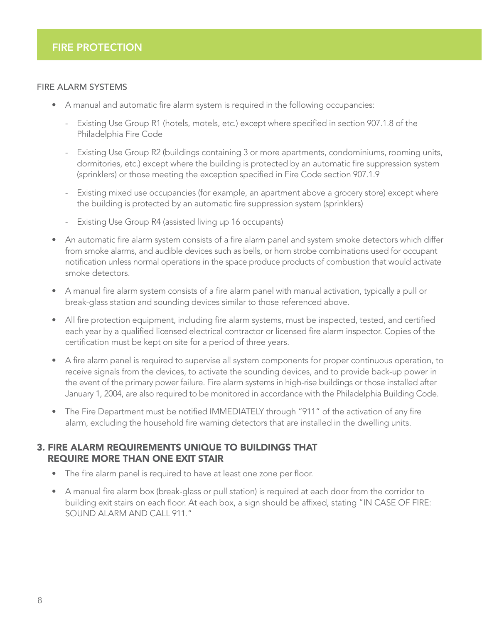#### FIRE ALARM SYSTEMS

- A manual and automatic fire alarm system is required in the following occupancies:
	- Existing Use Group R1 (hotels, motels, etc.) except where specified in section 907.1.8 of the Philadelphia Fire Code
	- Existing Use Group R2 (buildings containing 3 or more apartments, condominiums, rooming units, dormitories, etc.) except where the building is protected by an automatic fire suppression system (sprinklers) or those meeting the exception specified in Fire Code section 907.1.9
	- Existing mixed use occupancies (for example, an apartment above a grocery store) except where the building is protected by an automatic fire suppression system (sprinklers)
	- Existing Use Group R4 (assisted living up 16 occupants)
- An automatic fire alarm system consists of a fire alarm panel and system smoke detectors which differ from smoke alarms, and audible devices such as bells, or horn strobe combinations used for occupant notification unless normal operations in the space produce products of combustion that would activate smoke detectors.
- A manual fire alarm system consists of a fire alarm panel with manual activation, typically a pull or break-glass station and sounding devices similar to those referenced above.
- All fire protection equipment, including fire alarm systems, must be inspected, tested, and certified each year by a qualified licensed electrical contractor or licensed fire alarm inspector. Copies of the certification must be kept on site for a period of three years.
- A fire alarm panel is required to supervise all system components for proper continuous operation, to receive signals from the devices, to activate the sounding devices, and to provide back-up power in the event of the primary power failure. Fire alarm systems in high-rise buildings or those installed after January 1, 2004, are also required to be monitored in accordance with the Philadelphia Building Code.
- The Fire Department must be notified IMMEDIATELY through "911" of the activation of any fire alarm, excluding the household fire warning detectors that are installed in the dwelling units.

#### 3. FIRE ALARM REQUIREMENTS UNIQUE TO BUILDINGS THAT REQUIRE MORE THAN ONE EXIT STAIR

- The fire alarm panel is required to have at least one zone per floor.
- A manual fire alarm box (break-glass or pull station) is required at each door from the corridor to building exit stairs on each floor. At each box, a sign should be affixed, stating "IN CASE OF FIRE: SOUND ALARM AND CALL 911."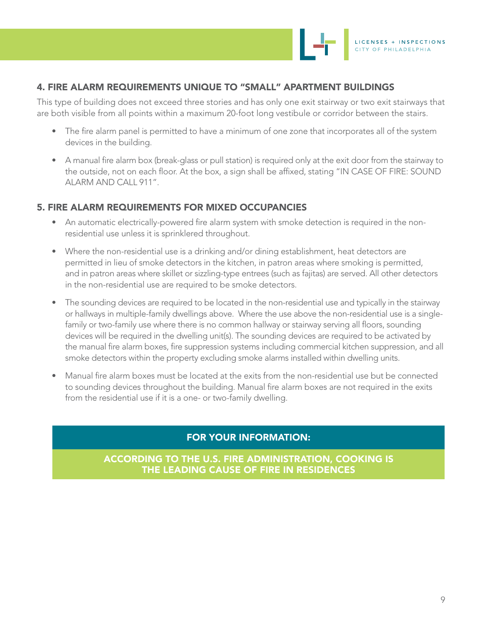

## 4. FIRE ALARM REQUIREMENTS UNIQUE TO "SMALL" APARTMENT BUILDINGS

This type of building does not exceed three stories and has only one exit stairway or two exit stairways that are both visible from all points within a maximum 20-foot long vestibule or corridor between the stairs.

- The fire alarm panel is permitted to have a minimum of one zone that incorporates all of the system devices in the building.
- A manual fire alarm box (break-glass or pull station) is required only at the exit door from the stairway to the outside, not on each floor. At the box, a sign shall be affixed, stating "IN CASE OF FIRE: SOUND ALARM AND CALL 911".

# 5. FIRE ALARM REQUIREMENTS FOR MIXED OCCUPANCIES

- An automatic electrically-powered fire alarm system with smoke detection is required in the nonresidential use unless it is sprinklered throughout.
- Where the non-residential use is a drinking and/or dining establishment, heat detectors are permitted in lieu of smoke detectors in the kitchen, in patron areas where smoking is permitted, and in patron areas where skillet or sizzling-type entrees (such as fajitas) are served. All other detectors in the non-residential use are required to be smoke detectors.
- The sounding devices are required to be located in the non-residential use and typically in the stairway or hallways in multiple-family dwellings above. Where the use above the non-residential use is a singlefamily or two-family use where there is no common hallway or stairway serving all floors, sounding devices will be required in the dwelling unit(s). The sounding devices are required to be activated by the manual fire alarm boxes, fire suppression systems including commercial kitchen suppression, and all smoke detectors within the property excluding smoke alarms installed within dwelling units.
- Manual fire alarm boxes must be located at the exits from the non-residential use but be connected to sounding devices throughout the building. Manual fire alarm boxes are not required in the exits from the residential use if it is a one- or two-family dwelling.

#### FOR YOUR INFORMATION:

ACCORDING TO THE U.S. FIRE ADMINISTRATION, COOKING IS THE LEADING CAUSE OF FIRE IN RESIDENCES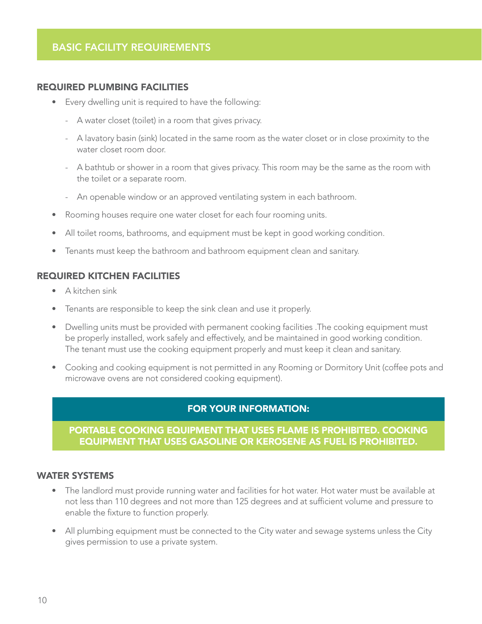#### REQUIRED PLUMBING FACILITIES

- Every dwelling unit is required to have the following:
	- A water closet (toilet) in a room that gives privacy.
	- A lavatory basin (sink) located in the same room as the water closet or in close proximity to the water closet room door.
	- A bathtub or shower in a room that gives privacy. This room may be the same as the room with the toilet or a separate room.
	- An openable window or an approved ventilating system in each bathroom.
- Rooming houses require one water closet for each four rooming units.
- All toilet rooms, bathrooms, and equipment must be kept in good working condition.
- Tenants must keep the bathroom and bathroom equipment clean and sanitary.

#### REQUIRED KITCHEN FACILITIES

- A kitchen sink
- Tenants are responsible to keep the sink clean and use it properly.
- Dwelling units must be provided with permanent cooking facilities .The cooking equipment must be properly installed, work safely and effectively, and be maintained in good working condition. The tenant must use the cooking equipment properly and must keep it clean and sanitary.
- Cooking and cooking equipment is not permitted in any Rooming or Dormitory Unit (coffee pots and microwave ovens are not considered cooking equipment).

#### FOR YOUR INFORMATION:

#### PORTABLE COOKING EQUIPMENT THAT USES FLAME IS PROHIBITED. COOKING EQUIPMENT THAT USES GASOLINE OR KEROSENE AS FUEL IS PROHIBITED.

#### WATER SYSTEMS

- The landlord must provide running water and facilities for hot water. Hot water must be available at not less than 110 degrees and not more than 125 degrees and at sufficient volume and pressure to enable the fixture to function properly.
- All plumbing equipment must be connected to the City water and sewage systems unless the City gives permission to use a private system.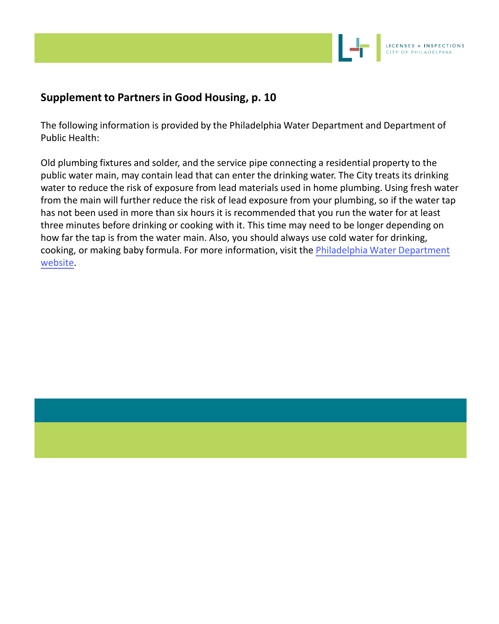

# **Supplement to Partners in Good Housing, p. 10**

The following information is provided by the Philadelphia Water Department and Department of Public Health:

Old plumbing fixtures and solder, and the service pipe connecting a residential property to the public water main, may contain lead that can enter the drinking water. The City treats its drinking water to reduce the risk of exposure from lead materials used in home plumbing. Using fresh water from the main will further reduce the risk of lead exposure from your plumbing, so if the water tap has not been used in more than six hours it is recommended that you run the water for at least three minutes before drinking or cooking with it. This time may need to be longer depending on how far the tap is from the water main. Also, you should always use cold water for drinking, cooking, or making baby formula. For more information, visit the [Philadelphia Water Department](https://www.phila.gov/water/wu/drinkingwater/lead/Pages/overview.aspx)  [websit](https://www.phila.gov/water/wu/drinkingwater/lead/Pages/overview.aspx)e.

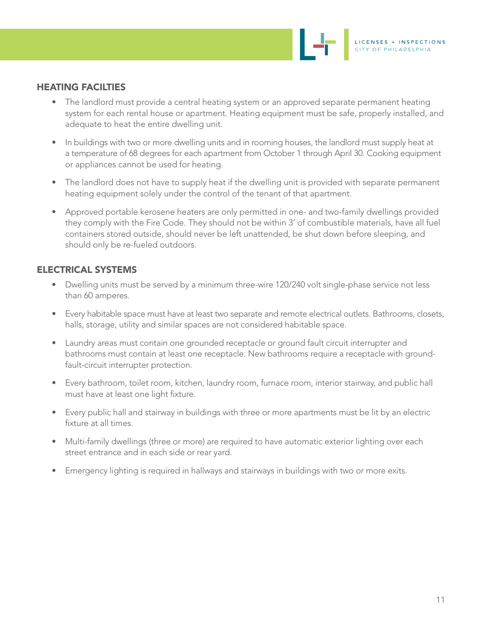#### HEATING FACILTIES

- The landlord must provide a central heating system or an approved separate permanent heating system for each rental house or apartment. Heating equipment must be safe, properly installed, and adequate to heat the entire dwelling unit.
- In buildings with two or more dwelling units and in rooming houses, the landlord must supply heat at a temperature of 68 degrees for each apartment from October 1 through April 30. Cooking equipment or appliances cannot be used for heating.
- The landlord does not have to supply heat if the dwelling unit is provided with separate permanent heating equipment solely under the control of the tenant of that apartment.
- Approved portable kerosene heaters are only permitted in one- and two-family dwellings provided they comply with the Fire Code. They should not be within 3' of combustible materials, have all fuel containers stored outside, should never be left unattended, be shut down before sleeping, and should only be re-fueled outdoors.

#### ELECTRICAL SYSTEMS

- Dwelling units must be served by a minimum three-wire 120/240 volt single-phase service not less than 60 amperes.
- Every habitable space must have at least two separate and remote electrical outlets. Bathrooms, closets, halls, storage, utility and similar spaces are not considered habitable space.
- Laundry areas must contain one grounded receptacle or ground fault circuit interrupter and bathrooms must contain at least one receptacle. New bathrooms require a receptacle with groundfault-circuit interrupter protection.
- Every bathroom, toilet room, kitchen, laundry room, furnace room, interior stairway, and public hall must have at least one light fixture.
- Every public hall and stairway in buildings with three or more apartments must be lit by an electric fixture at all times.
- Multi-family dwellings (three or more) are required to have automatic exterior lighting over each street entrance and in each side or rear yard.
- Emergency lighting is required in hallways and stairways in buildings with two or more exits.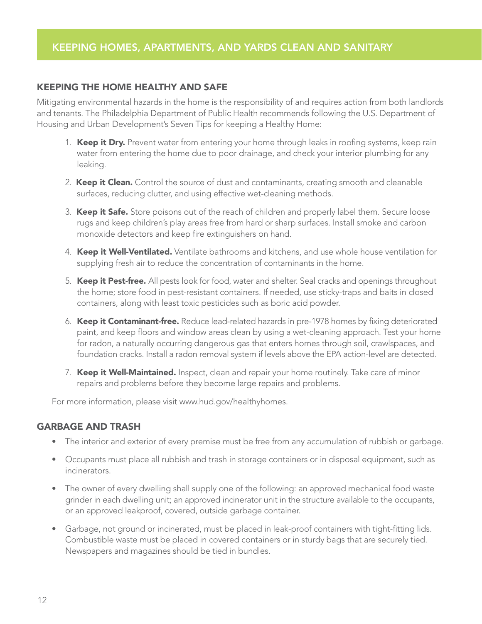## KEEPING THE HOME HEALTHY AND SAFE

Mitigating environmental hazards in the home is the responsibility of and requires action from both landlords and tenants. The Philadelphia Department of Public Health recommends following the U.S. Department of Housing and Urban Development's Seven Tips for keeping a Healthy Home:

- 1. Keep it Dry. Prevent water from entering your home through leaks in roofing systems, keep rain water from entering the home due to poor drainage, and check your interior plumbing for any leaking.
- 2. Keep it Clean. Control the source of dust and contaminants, creating smooth and cleanable surfaces, reducing clutter, and using effective wet-cleaning methods.
- 3. Keep it Safe. Store poisons out of the reach of children and properly label them. Secure loose rugs and keep children's play areas free from hard or sharp surfaces. Install smoke and carbon monoxide detectors and keep fire extinguishers on hand.
- 4. Keep it Well-Ventilated. Ventilate bathrooms and kitchens, and use whole house ventilation for supplying fresh air to reduce the concentration of contaminants in the home.
- 5. Keep it Pest-free. All pests look for food, water and shelter. Seal cracks and openings throughout the home; store food in pest-resistant containers. If needed, use sticky-traps and baits in closed containers, along with least toxic pesticides such as boric acid powder.
- 6. Keep it Contaminant-free. Reduce lead-related hazards in pre-1978 homes by fixing deteriorated paint, and keep floors and window areas clean by using a wet-cleaning approach. Test your home for radon, a naturally occurring dangerous gas that enters homes through soil, crawlspaces, and foundation cracks. Install a radon removal system if levels above the EPA action-level are detected.
- 7. Keep it Well-Maintained. Inspect, clean and repair your home routinely. Take care of minor repairs and problems before they become large repairs and problems.

For more information, please visit www.hud.gov/healthyhomes.

#### GARBAGE AND TRASH

- The interior and exterior of every premise must be free from any accumulation of rubbish or garbage.
- Occupants must place all rubbish and trash in storage containers or in disposal equipment, such as incinerators.
- The owner of every dwelling shall supply one of the following: an approved mechanical food waste grinder in each dwelling unit; an approved incinerator unit in the structure available to the occupants, or an approved leakproof, covered, outside garbage container.
- Garbage, not ground or incinerated, must be placed in leak-proof containers with tight-fitting lids. Combustible waste must be placed in covered containers or in sturdy bags that are securely tied. Newspapers and magazines should be tied in bundles.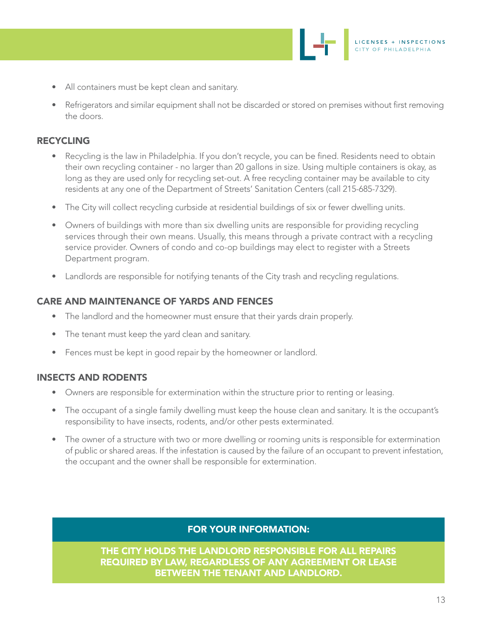LICENSES + INSPECTIONS CITY OF PHILADELPHIA

- All containers must be kept clean and sanitary.
- Refrigerators and similar equipment shall not be discarded or stored on premises without first removing the doors.

# RECYCLING

- Recycling is the law in Philadelphia. If you don't recycle, you can be fined. Residents need to obtain their own recycling container - no larger than 20 gallons in size. Using multiple containers is okay, as long as they are used only for recycling set-out. A free recycling container may be available to city residents at any one of the Department of Streets' Sanitation Centers (call 215-685-7329).
- The City will collect recycling curbside at residential buildings of six or fewer dwelling units.
- Owners of buildings with more than six dwelling units are responsible for providing recycling services through their own means. Usually, this means through a private contract with a recycling service provider. Owners of condo and co-op buildings may elect to register with a Streets Department program.
- Landlords are responsible for notifying tenants of the City trash and recycling regulations.

# CARE AND MAINTENANCE OF YARDS AND FENCES

- The landlord and the homeowner must ensure that their yards drain properly.
- The tenant must keep the yard clean and sanitary.
- Fences must be kept in good repair by the homeowner or landlord.

# INSECTS AND RODENTS

- Owners are responsible for extermination within the structure prior to renting or leasing.
- The occupant of a single family dwelling must keep the house clean and sanitary. It is the occupant's responsibility to have insects, rodents, and/or other pests exterminated.
- The owner of a structure with two or more dwelling or rooming units is responsible for extermination of public or shared areas. If the infestation is caused by the failure of an occupant to prevent infestation, the occupant and the owner shall be responsible for extermination.

# FOR YOUR INFORMATION:

THE CITY HOLDS THE LANDLORD RESPONSIBLE FOR ALL REPAIRS REQUIRED BY LAW, REGARDLESS OF ANY AGREEMENT OR LEASE BETWEEN THE TENANT AND LANDLORD.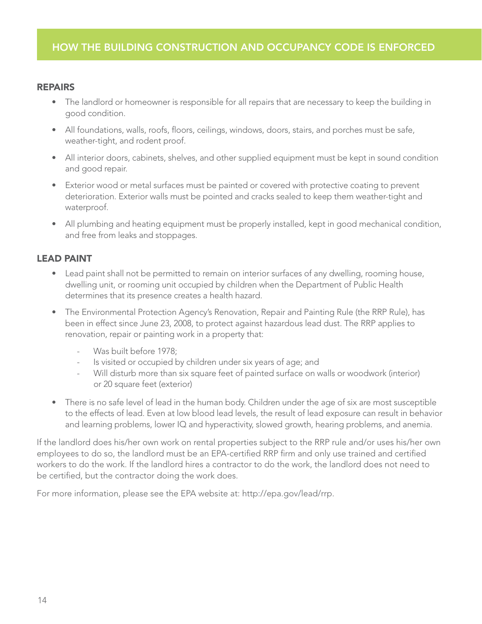#### REPAIRS

- The landlord or homeowner is responsible for all repairs that are necessary to keep the building in good condition.
- All foundations, walls, roofs, floors, ceilings, windows, doors, stairs, and porches must be safe, weather-tight, and rodent proof.
- All interior doors, cabinets, shelves, and other supplied equipment must be kept in sound condition and good repair.
- Exterior wood or metal surfaces must be painted or covered with protective coating to prevent deterioration. Exterior walls must be pointed and cracks sealed to keep them weather-tight and waterproof.
- All plumbing and heating equipment must be properly installed, kept in good mechanical condition, and free from leaks and stoppages.

# LEAD PAINT

- Lead paint shall not be permitted to remain on interior surfaces of any dwelling, rooming house, dwelling unit, or rooming unit occupied by children when the Department of Public Health determines that its presence creates a health hazard.
- The Environmental Protection Agency's Renovation, Repair and Painting Rule (the RRP Rule), has been in effect since June 23, 2008, to protect against hazardous lead dust. The RRP applies to renovation, repair or painting work in a property that:
	- Was built before 1978;
	- Is visited or occupied by children under six years of age; and
	- Will disturb more than six square feet of painted surface on walls or woodwork (interior) or 20 square feet (exterior)
- There is no safe level of lead in the human body. Children under the age of six are most susceptible to the effects of lead. Even at low blood lead levels, the result of lead exposure can result in behavior and learning problems, lower IQ and hyperactivity, slowed growth, hearing problems, and anemia.

If the landlord does his/her own work on rental properties subject to the RRP rule and/or uses his/her own employees to do so, the landlord must be an EPA-certified RRP firm and only use trained and certified workers to do the work. If the landlord hires a contractor to do the work, the landlord does not need to be certified, but the contractor doing the work does.

For more information, please see the EPA website at: http://epa.gov/lead/rrp.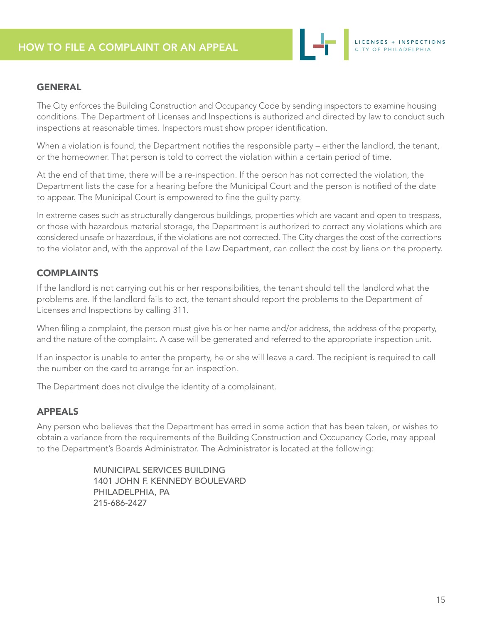

#### **GENERAL**

The City enforces the Building Construction and Occupancy Code by sending inspectors to examine housing conditions. The Department of Licenses and Inspections is authorized and directed by law to conduct such inspections at reasonable times. Inspectors must show proper identification.

When a violation is found, the Department notifies the responsible party – either the landlord, the tenant, or the homeowner. That person is told to correct the violation within a certain period of time.

At the end of that time, there will be a re-inspection. If the person has not corrected the violation, the Department lists the case for a hearing before the Municipal Court and the person is notified of the date to appear. The Municipal Court is empowered to fine the guilty party.

In extreme cases such as structurally dangerous buildings, properties which are vacant and open to trespass, or those with hazardous material storage, the Department is authorized to correct any violations which are considered unsafe or hazardous, if the violations are not corrected. The City charges the cost of the corrections to the violator and, with the approval of the Law Department, can collect the cost by liens on the property.

# **COMPLAINTS**

If the landlord is not carrying out his or her responsibilities, the tenant should tell the landlord what the problems are. If the landlord fails to act, the tenant should report the problems to the Department of Licenses and Inspections by calling 311.

When filing a complaint, the person must give his or her name and/or address, the address of the property, and the nature of the complaint. A case will be generated and referred to the appropriate inspection unit.

If an inspector is unable to enter the property, he or she will leave a card. The recipient is required to call the number on the card to arrange for an inspection.

The Department does not divulge the identity of a complainant.

# APPEALS

Any person who believes that the Department has erred in some action that has been taken, or wishes to obtain a variance from the requirements of the Building Construction and Occupancy Code, may appeal to the Department's Boards Administrator. The Administrator is located at the following:

> MUNICIPAL SERVICES BUILDING 1401 JOHN F. KENNEDY BOULEVARD PHILADELPHIA, PA 215-686-2427